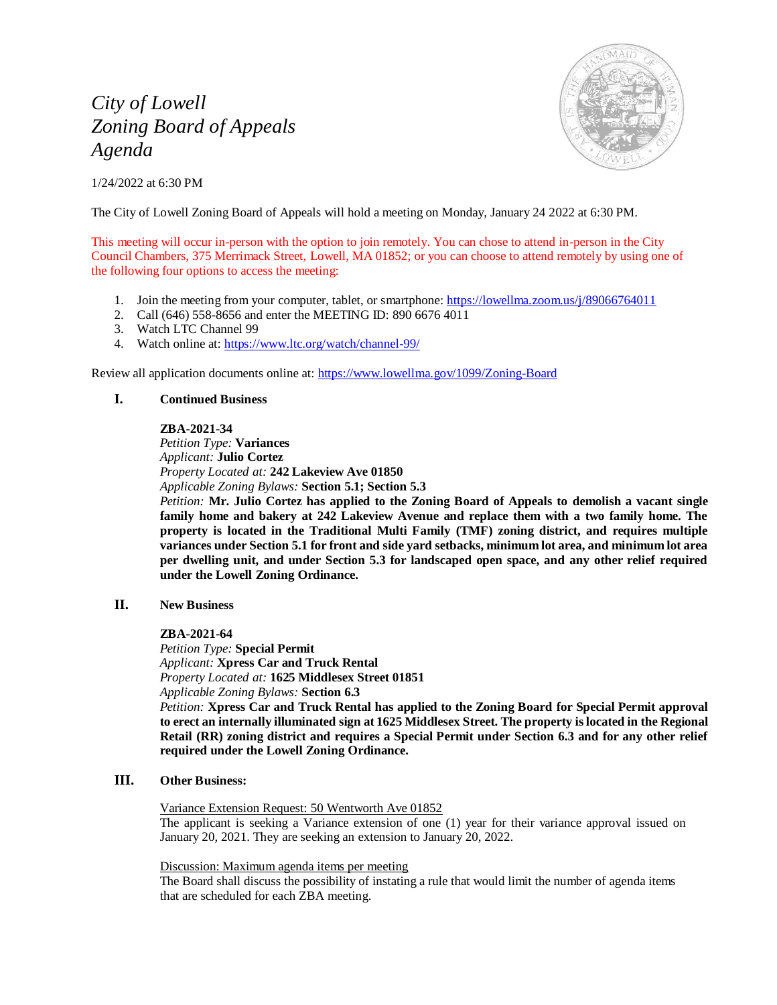# *City of Lowell Zoning Board of Appeals Agenda*

1/24/2022 at 6:30 PM



The City of Lowell Zoning Board of Appeals will hold a meeting on Monday, January 24 2022 at 6:30 PM.

This meeting will occur in-person with the option to join remotely. You can chose to attend in-person in the City Council Chambers, 375 Merrimack Street, Lowell, MA 01852; or you can choose to attend remotely by using one of the following four options to access the meeting:

- 1. Join the meeting from your computer, tablet, or smartphone: <https://lowellma.zoom.us/j/89066764011>
- 2. Call (646) 558-8656 and enter the MEETING ID: 890 6676 4011
- 3. Watch LTC Channel 99
- 4. Watch online at[: https://www.ltc.org/watch/channel-99/](https://www.ltc.org/watch/channel-99/)

Review all application documents online at:<https://www.lowellma.gov/1099/Zoning-Board>

### **I. Continued Business**

#### **ZBA-2021-34**

*Petition Type:* **Variances** *Applicant:* **Julio Cortez** *Property Located at:* **242 Lakeview Ave 01850** *Applicable Zoning Bylaws:* **Section 5.1; Section 5.3**

*Petition:* **Mr. Julio Cortez has applied to the Zoning Board of Appeals to demolish a vacant single family home and bakery at 242 Lakeview Avenue and replace them with a two family home. The property is located in the Traditional Multi Family (TMF) zoning district, and requires multiple variances under Section 5.1 for front and side yard setbacks, minimum lot area, and minimum lot area per dwelling unit, and under Section 5.3 for landscaped open space, and any other relief required under the Lowell Zoning Ordinance.**

**II. New Business**

#### **ZBA-2021-64**

*Petition Type:* **Special Permit** *Applicant:* **Xpress Car and Truck Rental** *Property Located at:* **1625 Middlesex Street 01851** *Applicable Zoning Bylaws:* **Section 6.3**

*Petition:* **Xpress Car and Truck Rental has applied to the Zoning Board for Special Permit approval to erect an internally illuminated sign at 1625 Middlesex Street. The property is located in the Regional Retail (RR) zoning district and requires a Special Permit under Section 6.3 and for any other relief required under the Lowell Zoning Ordinance.**

## **III. Other Business:**

Variance Extension Request: 50 Wentworth Ave 01852

The applicant is seeking a Variance extension of one (1) year for their variance approval issued on January 20, 2021. They are seeking an extension to January 20, 2022.

Discussion: Maximum agenda items per meeting

The Board shall discuss the possibility of instating a rule that would limit the number of agenda items that are scheduled for each ZBA meeting.